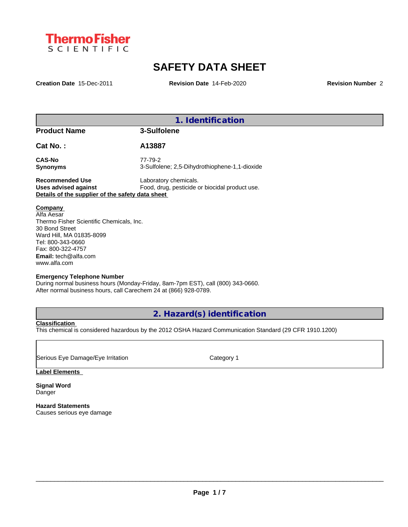

# **SAFETY DATA SHEET**

**Creation Date** 15-Dec-2011 **Revision Date** 14-Feb-2020 **Revision Number** 2

|                                                                                                                                                                                                          | 1. Identification                                                       |
|----------------------------------------------------------------------------------------------------------------------------------------------------------------------------------------------------------|-------------------------------------------------------------------------|
| <b>Product Name</b>                                                                                                                                                                                      | 3-Sulfolene                                                             |
| Cat No.:                                                                                                                                                                                                 | A13887                                                                  |
| <b>CAS-No</b><br><b>Synonyms</b>                                                                                                                                                                         | 77-79-2<br>3-Sulfolene; 2,5-Dihydrothiophene-1,1-dioxide                |
| <b>Recommended Use</b><br><b>Uses advised against</b><br>Details of the supplier of the safety data sheet                                                                                                | Laboratory chemicals.<br>Food, drug, pesticide or biocidal product use. |
| Company<br>Alfa Aesar<br>Thermo Fisher Scientific Chemicals, Inc.<br>30 Bond Street<br>Ward Hill, MA 01835-8099<br>Tel: 800-343-0660<br>Fax: 800-322-4757<br><b>Email:</b> tech@alfa.com<br>www.alfa.com |                                                                         |
| <b>Emergency Telephone Number</b>                                                                                                                                                                        |                                                                         |

During normal business hours (Monday-Friday, 8am-7pm EST), call (800) 343-0660. After normal business hours, call Carechem 24 at (866) 928-0789.

**2. Hazard(s) identification**

**Classification**

This chemical is considered hazardous by the 2012 OSHA Hazard Communication Standard (29 CFR 1910.1200)

Serious Eye Damage/Eye Irritation Category 1

**Label Elements**

**Signal Word** Danger

**Hazard Statements** Causes serious eye damage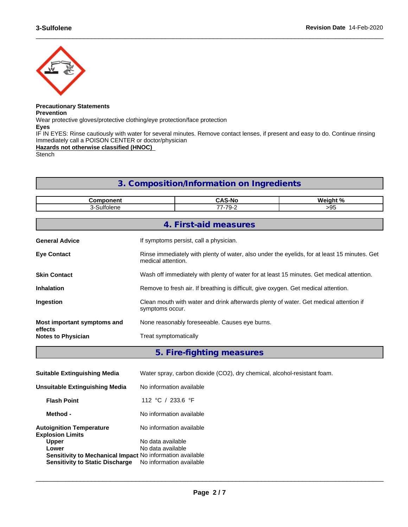

# **Precautionary Statements**

**Prevention**

Wear protective gloves/protective clothing/eye protection/face protection

**Eyes**

IF IN EYES: Rinse cautiously with water for several minutes. Remove contact lenses, if present and easy to do. Continue rinsing Immediately call a POISON CENTER or doctor/physician

 $\_$  ,  $\_$  ,  $\_$  ,  $\_$  ,  $\_$  ,  $\_$  ,  $\_$  ,  $\_$  ,  $\_$  ,  $\_$  ,  $\_$  ,  $\_$  ,  $\_$  ,  $\_$  ,  $\_$  ,  $\_$  ,  $\_$  ,  $\_$  ,  $\_$  ,  $\_$  ,  $\_$  ,  $\_$  ,  $\_$  ,  $\_$  ,  $\_$  ,  $\_$  ,  $\_$  ,  $\_$  ,  $\_$  ,  $\_$  ,  $\_$  ,  $\_$  ,  $\_$  ,  $\_$  ,  $\_$  ,  $\_$  ,  $\_$  ,

**Hazards not otherwise classified (HNOC)**

Stench

# **3. Composition/Information on Ingredients**

| Component                            | <b>CAS-No</b><br>Weight %                                                                                |                                                                                                                    |  |  |  |  |  |  |
|--------------------------------------|----------------------------------------------------------------------------------------------------------|--------------------------------------------------------------------------------------------------------------------|--|--|--|--|--|--|
| 3-Sulfolene                          | 77-79-2                                                                                                  | >95                                                                                                                |  |  |  |  |  |  |
|                                      |                                                                                                          |                                                                                                                    |  |  |  |  |  |  |
|                                      |                                                                                                          | 4. First-aid measures                                                                                              |  |  |  |  |  |  |
| <b>General Advice</b>                | If symptoms persist, call a physician.                                                                   |                                                                                                                    |  |  |  |  |  |  |
| <b>Eye Contact</b>                   |                                                                                                          | Rinse immediately with plenty of water, also under the eyelids, for at least 15 minutes. Get<br>medical attention. |  |  |  |  |  |  |
| <b>Skin Contact</b>                  | Wash off immediately with plenty of water for at least 15 minutes. Get medical attention.                |                                                                                                                    |  |  |  |  |  |  |
| <b>Inhalation</b>                    | Remove to fresh air. If breathing is difficult, give oxygen. Get medical attention.                      |                                                                                                                    |  |  |  |  |  |  |
| Ingestion                            | Clean mouth with water and drink afterwards plenty of water. Get medical attention if<br>symptoms occur. |                                                                                                                    |  |  |  |  |  |  |
| Most important symptoms and          |                                                                                                          | None reasonably foreseeable. Causes eye burns.                                                                     |  |  |  |  |  |  |
| effects<br><b>Notes to Physician</b> | Treat symptomatically                                                                                    |                                                                                                                    |  |  |  |  |  |  |
|                                      |                                                                                                          |                                                                                                                    |  |  |  |  |  |  |

**5. Fire-fighting measures**

| <b>Suitable Extinguishing Media</b>                                       | Water spray, carbon dioxide (CO2), dry chemical, alcohol-resistant foam. |
|---------------------------------------------------------------------------|--------------------------------------------------------------------------|
| Unsuitable Extinguishing Media                                            | No information available                                                 |
| <b>Flash Point</b>                                                        | 112 °C / 233.6 °F                                                        |
| Method -                                                                  | No information available                                                 |
| <b>Autoignition Temperature</b><br><b>Explosion Limits</b>                | No information available                                                 |
| <b>Upper</b>                                                              | No data available                                                        |
| Lower<br><b>Sensitivity to Mechanical Impact No information available</b> | No data available                                                        |
| <b>Sensitivity to Static Discharge</b>                                    | No information available                                                 |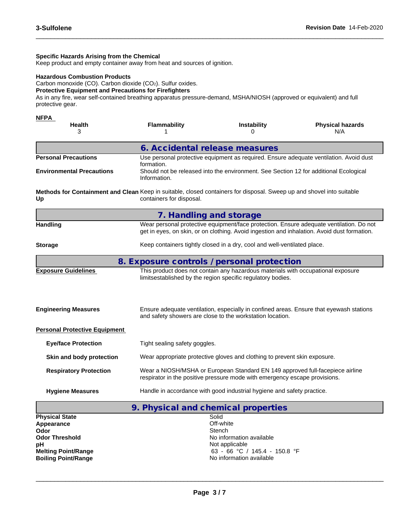#### **Specific Hazards Arising from the Chemical**

Keep product and empty container away from heat and sources of ignition.

### **Hazardous Combustion Products**

Carbon monoxide (CO). Carbon dioxide (CO2). Sulfur oxides.

#### **Protective Equipment and Precautions for Firefighters**

As in any fire, wear self-contained breathing apparatus pressure-demand, MSHA/NIOSH (approved or equivalent) and full protective gear.

 $\_$  ,  $\_$  ,  $\_$  ,  $\_$  ,  $\_$  ,  $\_$  ,  $\_$  ,  $\_$  ,  $\_$  ,  $\_$  ,  $\_$  ,  $\_$  ,  $\_$  ,  $\_$  ,  $\_$  ,  $\_$  ,  $\_$  ,  $\_$  ,  $\_$  ,  $\_$  ,  $\_$  ,  $\_$  ,  $\_$  ,  $\_$  ,  $\_$  ,  $\_$  ,  $\_$  ,  $\_$  ,  $\_$  ,  $\_$  ,  $\_$  ,  $\_$  ,  $\_$  ,  $\_$  ,  $\_$  ,  $\_$  ,  $\_$  ,

| NFPA<br><b>Health</b><br>3                                                                                                  | <b>Flammability</b>                                                                                   | <b>Instability</b><br>O                                                                                                                                     | <b>Physical hazards</b><br>N/A                                                                                                                                                         |  |  |  |  |  |
|-----------------------------------------------------------------------------------------------------------------------------|-------------------------------------------------------------------------------------------------------|-------------------------------------------------------------------------------------------------------------------------------------------------------------|----------------------------------------------------------------------------------------------------------------------------------------------------------------------------------------|--|--|--|--|--|
|                                                                                                                             | 6. Accidental release measures                                                                        |                                                                                                                                                             |                                                                                                                                                                                        |  |  |  |  |  |
| <b>Personal Precautions</b>                                                                                                 | formation.                                                                                            |                                                                                                                                                             | Use personal protective equipment as required. Ensure adequate ventilation. Avoid dust                                                                                                 |  |  |  |  |  |
| <b>Environmental Precautions</b>                                                                                            | Should not be released into the environment. See Section 12 for additional Ecological<br>Information. |                                                                                                                                                             |                                                                                                                                                                                        |  |  |  |  |  |
| Methods for Containment and Clean Keep in suitable, closed containers for disposal. Sweep up and shovel into suitable<br>Up | containers for disposal.                                                                              |                                                                                                                                                             |                                                                                                                                                                                        |  |  |  |  |  |
|                                                                                                                             | 7. Handling and storage                                                                               |                                                                                                                                                             |                                                                                                                                                                                        |  |  |  |  |  |
| Handling                                                                                                                    |                                                                                                       |                                                                                                                                                             | Wear personal protective equipment/face protection. Ensure adequate ventilation. Do not<br>get in eyes, on skin, or on clothing. Avoid ingestion and inhalation. Avoid dust formation. |  |  |  |  |  |
| <b>Storage</b>                                                                                                              |                                                                                                       | Keep containers tightly closed in a dry, cool and well-ventilated place.                                                                                    |                                                                                                                                                                                        |  |  |  |  |  |
|                                                                                                                             | 8. Exposure controls / personal protection                                                            |                                                                                                                                                             |                                                                                                                                                                                        |  |  |  |  |  |
| <b>Exposure Guidelines</b>                                                                                                  |                                                                                                       | This product does not contain any hazardous materials with occupational exposure<br>limitsestablished by the region specific regulatory bodies.             |                                                                                                                                                                                        |  |  |  |  |  |
| <b>Engineering Measures</b>                                                                                                 |                                                                                                       | and safety showers are close to the workstation location.                                                                                                   | Ensure adequate ventilation, especially in confined areas. Ensure that eyewash stations                                                                                                |  |  |  |  |  |
| <b>Personal Protective Equipment</b>                                                                                        |                                                                                                       |                                                                                                                                                             |                                                                                                                                                                                        |  |  |  |  |  |
| <b>Eye/face Protection</b>                                                                                                  | Tight sealing safety goggles.                                                                         |                                                                                                                                                             |                                                                                                                                                                                        |  |  |  |  |  |
| Skin and body protection                                                                                                    |                                                                                                       | Wear appropriate protective gloves and clothing to prevent skin exposure.                                                                                   |                                                                                                                                                                                        |  |  |  |  |  |
| <b>Respiratory Protection</b>                                                                                               |                                                                                                       | Wear a NIOSH/MSHA or European Standard EN 149 approved full-facepiece airline<br>respirator in the positive pressure mode with emergency escape provisions. |                                                                                                                                                                                        |  |  |  |  |  |
| <b>Hygiene Measures</b>                                                                                                     |                                                                                                       | Handle in accordance with good industrial hygiene and safety practice.                                                                                      |                                                                                                                                                                                        |  |  |  |  |  |
|                                                                                                                             |                                                                                                       |                                                                                                                                                             |                                                                                                                                                                                        |  |  |  |  |  |

**9. Physical and chemical properties Physical State** Solid<br> **Appearance** Off-white **Appearance Odor** Stench **Odor** Stench **Stench** *Stench* Stench **Stench Stench** Stench **Stench 3 Odor Threshold No information available No information available pH**<br> **Melting Point/Range**<br>
Melting Point/Range<br>  $\begin{array}{ccc} 63 & -66 & -C \end{array}$ 63 - 66 °C / 145.4 - 150.8 °F<br>No information available **Boiling Point/Range**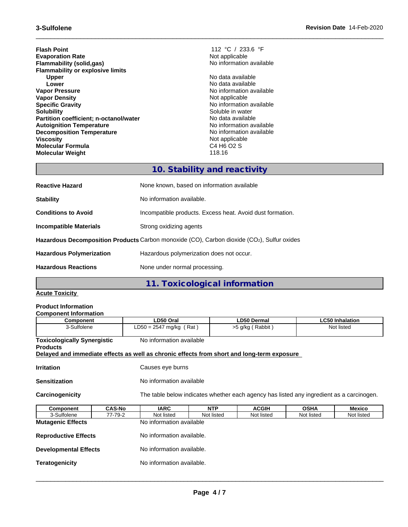**Flash Point**<br> **Evaporation Rate**<br> **Evaporation Rate**<br> **Evaporation Rate Evaporation Rate**<br> **Elammability (solid.gas)**<br> **Elammability (solid.gas)**<br> **Elammability (solid.gas) Flammability** (solid,gas) **Flammability or explosive limits Upper No data available**<br> **Lower No data available**<br>
No data available **Lower**<br> **Lower**<br> **Vapor Pressure**<br> **Vapor Pressure**<br> **Vapor Pressure Vapor Density**<br> **Specific Gravity**<br> **Specific Gravity**<br> **Specific Gravity Specific Gravity**<br> **Solubility**<br> **Solubility**<br>
Soluble in water **Partition coefficient; n-octanol/water** No data available<br> **Autoignition Temperature Autoignition available Autoignition Temperature**<br> **Decomposition Temperature** Temperature **No information available**<br>
No information available **Decomposition Temperature**<br>Viscosity **Molecular Formula** C4 H6 O2 S **Molecular Weight** 

 $\_$  ,  $\_$  ,  $\_$  ,  $\_$  ,  $\_$  ,  $\_$  ,  $\_$  ,  $\_$  ,  $\_$  ,  $\_$  ,  $\_$  ,  $\_$  ,  $\_$  ,  $\_$  ,  $\_$  ,  $\_$  ,  $\_$  ,  $\_$  ,  $\_$  ,  $\_$  ,  $\_$  ,  $\_$  ,  $\_$  ,  $\_$  ,  $\_$  ,  $\_$  ,  $\_$  ,  $\_$  ,  $\_$  ,  $\_$  ,  $\_$  ,  $\_$  ,  $\_$  ,  $\_$  ,  $\_$  ,  $\_$  ,  $\_$  ,

**No information available** Soluble in water<br>No data available Not applicable<br>C4 H6 O2 S

# **10. Stability and reactivity**

| <b>Reactive Hazard</b>          | None known, based on information available                                                 |
|---------------------------------|--------------------------------------------------------------------------------------------|
| <b>Stability</b>                | No information available.                                                                  |
| <b>Conditions to Avoid</b>      | Incompatible products. Excess heat. Avoid dust formation.                                  |
| Incompatible Materials          | Strong oxidizing agents                                                                    |
|                                 | Hazardous Decomposition Products Carbon monoxide (CO), Carbon dioxide (CO2), Sulfur oxides |
| <b>Hazardous Polymerization</b> | Hazardous polymerization does not occur.                                                   |
| <b>Hazardous Reactions</b>      | None under normal processing.                                                              |
|                                 |                                                                                            |

**11. Toxicological information**

## **Acute Toxicity**

# **Product Information**

| <b>Component Information</b>                                                               |               |                                                                                          |                                                               |                    |             |                        |  |  |  |
|--------------------------------------------------------------------------------------------|---------------|------------------------------------------------------------------------------------------|---------------------------------------------------------------|--------------------|-------------|------------------------|--|--|--|
| <b>Component</b>                                                                           |               | LD50 Oral                                                                                |                                                               | <b>LD50 Dermal</b> |             | <b>LC50 Inhalation</b> |  |  |  |
| 3-Sulfolene                                                                                |               |                                                                                          | $LD50 = 2547$ mg/kg (Rat)<br>$>5$ g/kg (Rabbit)<br>Not listed |                    |             |                        |  |  |  |
| <b>Toxicologically Synergistic</b><br><b>Products</b>                                      |               | No information available                                                                 |                                                               |                    |             |                        |  |  |  |
| Delayed and immediate effects as well as chronic effects from short and long-term exposure |               |                                                                                          |                                                               |                    |             |                        |  |  |  |
| <b>Irritation</b>                                                                          |               | Causes eye burns                                                                         |                                                               |                    |             |                        |  |  |  |
| <b>Sensitization</b>                                                                       |               | No information available                                                                 |                                                               |                    |             |                        |  |  |  |
| Carcinogenicity                                                                            |               | The table below indicates whether each agency has listed any ingredient as a carcinogen. |                                                               |                    |             |                        |  |  |  |
| Component                                                                                  | <b>CAS-No</b> | <b>IARC</b>                                                                              | <b>NTP</b>                                                    | <b>ACGIH</b>       | <b>OSHA</b> | Mexico                 |  |  |  |
| 3-Sulfolene                                                                                | 77-79-2       | Not listed                                                                               | Not listed                                                    | Not listed         | Not listed  | Not listed             |  |  |  |
| <b>Mutagenic Effects</b>                                                                   |               | No information available                                                                 |                                                               |                    |             |                        |  |  |  |

**Reproductive Effects** No information available.

**Developmental Effects** No information available.

**Teratogenicity No information available.**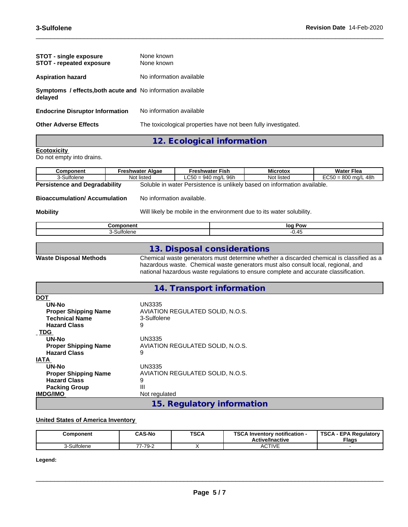| <b>STOT - single exposure</b><br><b>STOT</b> - repeated exposure              | None known<br>None known                                       |
|-------------------------------------------------------------------------------|----------------------------------------------------------------|
| <b>Aspiration hazard</b>                                                      | No information available                                       |
| <b>Symptoms / effects, both acute and No information available</b><br>delayed |                                                                |
| <b>Endocrine Disruptor Information</b>                                        | No information available                                       |
| <b>Other Adverse Effects</b>                                                  | The toxicological properties have not been fully investigated. |
|                                                                               | 12. Ecological information                                     |

 $\_$  ,  $\_$  ,  $\_$  ,  $\_$  ,  $\_$  ,  $\_$  ,  $\_$  ,  $\_$  ,  $\_$  ,  $\_$  ,  $\_$  ,  $\_$  ,  $\_$  ,  $\_$  ,  $\_$  ,  $\_$  ,  $\_$  ,  $\_$  ,  $\_$  ,  $\_$  ,  $\_$  ,  $\_$  ,  $\_$  ,  $\_$  ,  $\_$  ,  $\_$  ,  $\_$  ,  $\_$  ,  $\_$  ,  $\_$  ,  $\_$  ,  $\_$  ,  $\_$  ,  $\_$  ,  $\_$  ,  $\_$  ,  $\_$  ,

## **Ecotoxicity**

Do not empty into drains.

| Component                            | Freshwater Algae | Freshwater Fish                              | <b>Microtox</b>          | <b>Water Flea</b>             |  |
|--------------------------------------|------------------|----------------------------------------------|--------------------------|-------------------------------|--|
| 3-Sulfolene                          | listed<br>Not    | $LC50 = 940$ ma/L 96h                        | Not listed               | 48h<br>$EC50 = 800$<br>) ma/L |  |
| <b>Persistence and Degradability</b> | Soluble i        | <br>ו water Persistence is unlikely based on | n information available. |                               |  |

**Bioaccumulation/ Accumulation** No information available.

**Mobility** Mobility Will likely be mobile in the environment due to its water solubility.

| יי | יחי<br>lo(<br>. . |
|----|-------------------|
|    | ,,,<br>--         |
|    |                   |

## **13. Disposal considerations**

**Waste Disposal Methods** Chemical waste generators must determine whether a discarded chemical is classified as a hazardous waste. Chemical waste generators must also consult local, regional, and national hazardous waste regulations to ensure complete and accurate classification.

# **14. Transport information**

| <b>DOT</b>                  |                                  |
|-----------------------------|----------------------------------|
| UN-No                       | UN3335                           |
| <b>Proper Shipping Name</b> | AVIATION REGULATED SOLID, N.O.S. |
| <b>Technical Name</b>       | 3-Sulfolene                      |
| <b>Hazard Class</b>         | 9                                |
| TDG                         |                                  |
| UN-No                       | <b>UN3335</b>                    |
| <b>Proper Shipping Name</b> | AVIATION REGULATED SOLID, N.O.S. |
| <b>Hazard Class</b>         | 9                                |
| <b>IATA</b>                 |                                  |
| UN-No                       | <b>UN3335</b>                    |
| <b>Proper Shipping Name</b> | AVIATION REGULATED SOLID, N.O.S. |
| <b>Hazard Class</b>         | 9                                |
| <b>Packing Group</b>        | Ш                                |
| <b>IMDG/IMO</b>             | Not regulated                    |
|                             | 15. Regulatory information       |

### **United States of America Inventory**

| Component  | <b>CAS-No</b> | <b>TSCA</b> | TCA<br>$\lrcorner$ Inventory notification -<br><b>Active/Inactive</b> | <b>TSCA</b><br><b>EPA Regulatory</b><br><b>Flags</b> |
|------------|---------------|-------------|-----------------------------------------------------------------------|------------------------------------------------------|
| -Sulfolene | -79-2<br>--   |             | $C$ TIVE<br>¬∪⊥।៴∟                                                    |                                                      |

**Legend:**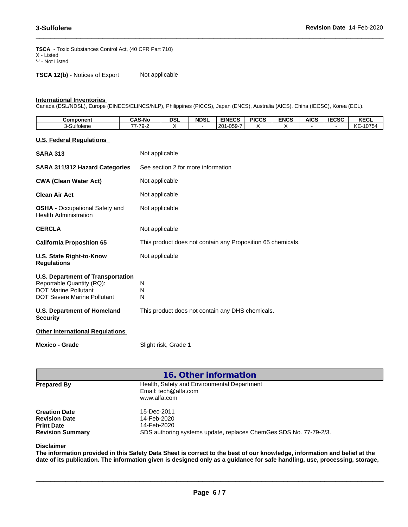**TSCA** - Toxic Substances Control Act, (40 CFR Part 710) X - Listed '-' - Not Listed

**TSCA 12(b)** - Notices of Export Not applicable

#### **International Inventories**

Canada (DSL/NDSL), Europe (EINECS/ELINCS/NLP), Philippines (PICCS), Japan (ENCS), Australia (AICS), China (IECSC), Korea (ECL).

| Component  | <b>CAS-No</b>                | <b>DSL</b> | <b>NDSL</b> | <b>EINECS</b>                                                | <b>PICCS</b> | <b>ENCS</b> | <b>AICS</b> | <b>IECSC</b> | <b>KECL</b>                 |
|------------|------------------------------|------------|-------------|--------------------------------------------------------------|--------------|-------------|-------------|--------------|-----------------------------|
| -Sulfolene | $\overline{z}$<br>--<br>79-∠ |            |             | $\sim$ $\sim$ $\sim$ $\sim$<br>20 <sup>2</sup><br>nu.<br>บงอ |              |             |             |              | 10F<br>$\sim$<br>0754<br>∼⊏ |

 $\_$  ,  $\_$  ,  $\_$  ,  $\_$  ,  $\_$  ,  $\_$  ,  $\_$  ,  $\_$  ,  $\_$  ,  $\_$  ,  $\_$  ,  $\_$  ,  $\_$  ,  $\_$  ,  $\_$  ,  $\_$  ,  $\_$  ,  $\_$  ,  $\_$  ,  $\_$  ,  $\_$  ,  $\_$  ,  $\_$  ,  $\_$  ,  $\_$  ,  $\_$  ,  $\_$  ,  $\_$  ,  $\_$  ,  $\_$  ,  $\_$  ,  $\_$  ,  $\_$  ,  $\_$  ,  $\_$  ,  $\_$  ,  $\_$  ,

**U.S. Federal Regulations**

| Mexico - Grade                                                                                                                             | Slight risk, Grade 1                                        |
|--------------------------------------------------------------------------------------------------------------------------------------------|-------------------------------------------------------------|
| <b>Other International Regulations</b>                                                                                                     |                                                             |
| <b>U.S. Department of Homeland</b><br><b>Security</b>                                                                                      | This product does not contain any DHS chemicals.            |
| <b>U.S. Department of Transportation</b><br>Reportable Quantity (RQ):<br><b>DOT Marine Pollutant</b><br><b>DOT Severe Marine Pollutant</b> | N<br>N<br>N                                                 |
| U.S. State Right-to-Know<br><b>Regulations</b>                                                                                             | Not applicable                                              |
| <b>California Proposition 65</b>                                                                                                           | This product does not contain any Proposition 65 chemicals. |
| <b>CERCLA</b>                                                                                                                              | Not applicable                                              |
| <b>OSHA</b> - Occupational Safety and<br><b>Health Administration</b>                                                                      | Not applicable                                              |
| <b>Clean Air Act</b>                                                                                                                       | Not applicable                                              |
| <b>CWA (Clean Water Act)</b>                                                                                                               | Not applicable                                              |
| SARA 311/312 Hazard Categories                                                                                                             | See section 2 for more information                          |
| <b>SARA 313</b>                                                                                                                            | Not applicable                                              |

| 16. Other information                                                                        |                                                                                                                |
|----------------------------------------------------------------------------------------------|----------------------------------------------------------------------------------------------------------------|
| <b>Prepared By</b>                                                                           | Health, Safety and Environmental Department<br>Email: tech@alfa.com<br>www.alfa.com                            |
| <b>Creation Date</b><br><b>Revision Date</b><br><b>Print Date</b><br><b>Revision Summary</b> | 15-Dec-2011<br>14-Feb-2020<br>14-Feb-2020<br>SDS authoring systems update, replaces ChemGes SDS No. 77-79-2/3. |

#### **Disclaimer**

The information provided in this Safety Data Sheet is correct to the best of our knowledge, information and belief at the date of its publication. The information given is designed only as a guidance for safe handling, use, processing, storage,